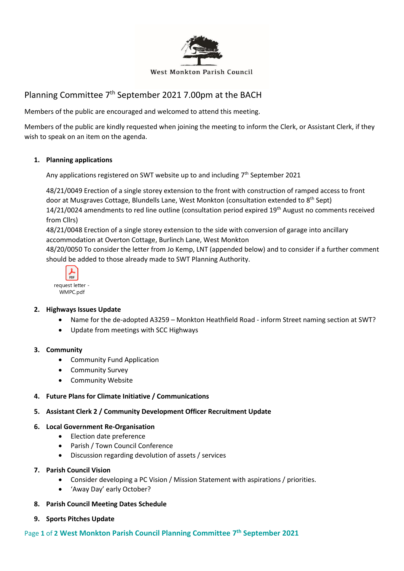

#### **West Monkton Parish Council**

# Planning Committee 7<sup>th</sup> September 2021 7.00pm at the BACH

Members of the public are encouraged and welcomed to attend this meeting.

Members of the public are kindly requested when joining the meeting to inform the Clerk, or Assistant Clerk, if they wish to speak on an item on the agenda.

### **1. Planning applications**

Any applications registered on SWT website up to and including 7<sup>th</sup> September 2021

48/21/0049 Erection of a single storey extension to the front with construction of ramped access to front door at Musgraves Cottage, Blundells Lane, West Monkton (consultation extended to 8<sup>th</sup> Sept) 14/21/0024 amendments to red line outline (consultation period expired 19th August no comments received from Cllrs)

48/21/0048 Erection of a single storey extension to the side with conversion of garage into ancillary accommodation at Overton Cottage, Burlinch Lane, West Monkton

48/20/0050 To consider the letter from Jo Kemp, LNT (appended below) and to consider if a further comment should be added to those already made to SWT Planning Authority.



## **2. Highways Issues Update**

- Name for the de-adopted A3259 Monkton Heathfield Road inform Street naming section at SWT?
- Update from meetings with SCC Highways

#### **3. Community**

- Community Fund Application
- Community Survey
- Community Website
- **4. Future Plans for Climate Initiative / Communications**

#### **5. Assistant Clerk 2 / Community Development Officer Recruitment Update**

#### **6. Local Government Re-Organisation**

- Election date preference
- Parish / Town Council Conference
- Discussion regarding devolution of assets / services
- **7. Parish Council Vision**
	- Consider developing a PC Vision / Mission Statement with aspirations / priorities.
	- 'Away Day' early October?
- **8. Parish Council Meeting Dates Schedule**
- **9. Sports Pitches Update**

## Page **1** of **2 West Monkton Parish Council Planning Committee 7 th September 2021**